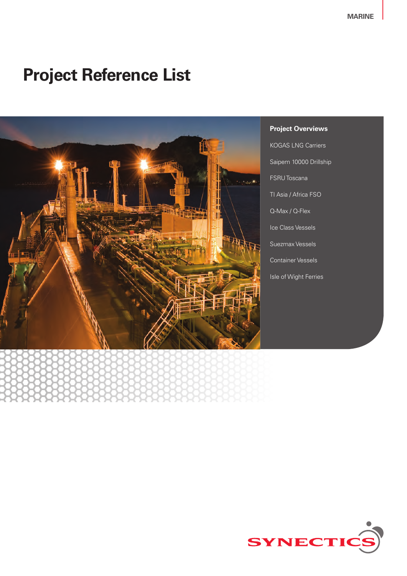# **Project Reference List**



**Project Overviews** KOGAS LNG Carriers Saipem 10000 Drillship FSRU Toscana TI Asia / Africa FSO Q-Max / Q-Flex Ice Class Vessels Suezmax Vessels Container Vessels Isle of Wight Ferries

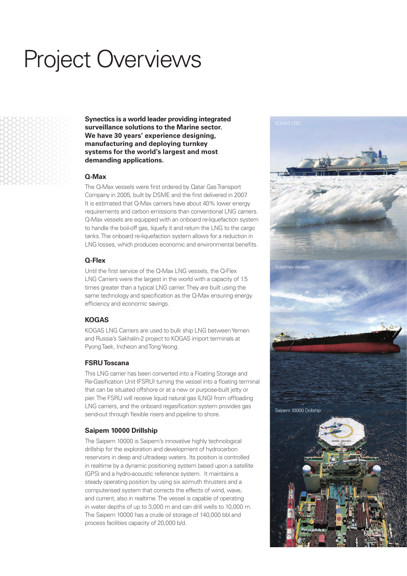# Project Overviews

**Synectics is a world leader providing integrated surveillance solutions to the Marine sector. We have 30 years' experience designing, manufacturing and deploying turnkey systems for the world's largest and most demanding applications.**

#### **Q-Max**

The Q-Max vessels were first ordered by Qatar Gas Transport Company in 2005, built by DSME and the first delivered in 2007. It is estimated that Q-Max carriers have about 40% lower energy requirements and carbon emissions than conventional LNG carriers. Q-Max vessels are equipped with an onboard re-liquefaction system to handle the boil-off gas, liquefy it and return the LNG to the cargo tanks. The onboard re-liquefaction system allows for a reduction in LNG losses, which produces economic and environmental benefits.

#### **Q-Flex**

Until the first service of the Q-Max LNG vessels, the Q-Flex LNG Carriers were the largest in the world with a capacity of 1.5 times greater than a typical LNG carrier. They are built using the same technology and specification as the Q-Max ensuring energy efficiency and economic savings.

#### **KOGAS**

KOGAS LNG Carriers are used to bulk ship LNG between Yemen and Russia's Sakhalin-2 project to KOGAS import terminals at Pyong Taek, Incheon and Tong Yeong.

#### **FSRU Toscana**

This LNG carrier has been converted into a Floating Storage and Re-Gasification Unit (FSRU) turning the vessel into a floating terminal that can be situated offshore or at a new or purpose-built jetty or pier. The FSRU will receive liquid natural gas (LNG) from offloading LNG carriers, and the onboard regasification system provides gas send-out through flexible risers and pipeline to shore.

#### **Saipem 10000 Drillship**

The Saipem 10000 is Saipem's innovative highly technological drillship for the exploration and development of hydrocarbon reservoirs in deep and ultradeep waters. Its position is controlled in realtime by a dynamic positioning system based upon a satellite (GPS) and a hydro-acoustic reference system. It maintains a steady operating position by using six azimuth thrusters and a computerised system that corrects the effects of wind, wave, and current, also in realtime. The vessel is capable of operating in water depths of up to 3,000 m and can drill wells to 10,000 m. The Saipem 10000 has a crude oil storage of 140,000 bbl and process facilities capacity of 20,000 b/d.

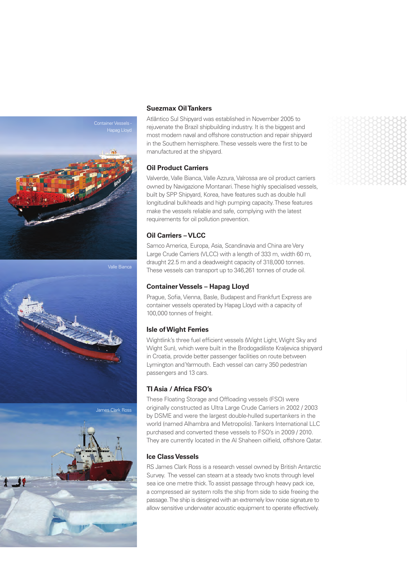

Valle Bianca



#### **Suezmax Oil Tankers**

Atlântico Sul Shipyard was established in November 2005 to rejuvenate the Brazil shipbuilding industry. It is the biggest and most modern naval and offshore construction and repair shipyard in the Southern hemisphere. These vessels were the first to be manufactured at the shipyard.

#### **Oil Product Carriers**

Valverde, Valle Bianca, Valle Azzura, Valrossa are oil product carriers owned by Navigazione Montanari. These highly specialised vessels, built by SPP Shipyard, Korea, have features such as double hull longitudinal bulkheads and high pumping capacity. These features make the vessels reliable and safe, complying with the latest requirements for oil pollution prevention.

#### **Oil Carriers – VLCC**

Samco America, Europa, Asia, Scandinavia and China are Very Large Crude Carriers (VLCC) with a length of 333 m, width 60 m, draught 22.5 m and a deadweight capacity of 318,000 tonnes. These vessels can transport up to 346,261 tonnes of crude oil.

#### **Container Vessels – Hapag Lloyd**

Prague, Sofia, Vienna, Basle, Budapest and Frankfurt Express are container vessels operated by Hapag Lloyd with a capacity of 100,000 tonnes of freight.

#### **Isle of Wight Ferries**

Wightlink's three fuel efficient vessels (Wight Light, Wight Sky and Wight Sun), which were built in the Brodogadiliste Kraljevica shipyard in Croatia, provide better passenger facilities on route between Lymington and Yarmouth. Each vessel can carry 350 pedestrian passengers and 13 cars.

### **TI Asia / Africa FSO's**

These Floating Storage and Offloading vessels (FSO) were originally constructed as Ultra Large Crude Carriers in 2002 / 2003 by DSME and were the largest double-hulled supertankers in the world (named Alhambra and Metropolis). Tankers International LLC purchased and converted these vessels to FSO's in 2009 / 2010. They are currently located in the Al Shaheen oilfield, offshore Qatar.

#### **Ice Class Vessels**

RS James Clark Ross is a research vessel owned by British Antarctic Survey. The vessel can steam at a steady two knots through level sea ice one metre thick. To assist passage through heavy pack ice, a compressed air system rolls the ship from side to side freeing the passage. The ship is designed with an extremely low noise signature to allow sensitive underwater acoustic equipment to operate effectively.

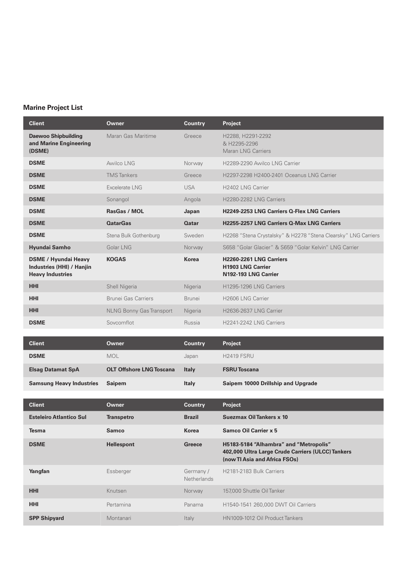# **Marine Project List**

| <b>Client</b>                                                                              | <b>Owner</b>                    | <b>Country</b>           | Project                                                                                                                      |
|--------------------------------------------------------------------------------------------|---------------------------------|--------------------------|------------------------------------------------------------------------------------------------------------------------------|
| <b>Daewoo Shipbuilding</b><br>and Marine Engineering<br>(DSME)                             | Maran Gas Maritime              | Greece                   | H2288, H2291-2292<br>& H2295-2296<br><b>Maran LNG Carriers</b>                                                               |
| <b>DSME</b>                                                                                | Awilco LNG                      | Norway                   | H2289-2290 Awilco LNG Carrier                                                                                                |
| <b>DSME</b>                                                                                | <b>TMS</b> Tankers              | Greece                   | H2297-2298 H2400-2401 Oceanus LNG Carrier                                                                                    |
| <b>DSME</b>                                                                                | Excelerate LNG                  | <b>USA</b>               | H2402 LNG Carrier                                                                                                            |
| <b>DSME</b>                                                                                | Sonangol                        | Angola                   | H2280-2282 LNG Carriers                                                                                                      |
| <b>DSME</b>                                                                                | RasGas / MOL                    | Japan                    | H2249-2253 LNG Carriers Q-Flex LNG Carriers                                                                                  |
| <b>DSME</b>                                                                                | <b>QatarGas</b>                 | <b>Qatar</b>             | H2255-2257 LNG Carriers Q-Max LNG Carriers                                                                                   |
| <b>DSME</b>                                                                                | Stena Bulk Gothenburg           | Sweden                   | H2268 "Stena Crystalsky" & H2278 "Stena Clearsky" LNG Carriers                                                               |
| Hyundai Samho                                                                              | Golar LNG                       | Norway                   | S658 "Golar Glacier" & S659 "Golar Kelvin" LNG Carrier                                                                       |
| <b>DSME / Hyundai Heavy</b><br><b>Industries (HHI) / Hanjin</b><br><b>Heavy Industries</b> | <b>KOGAS</b>                    | <b>Korea</b>             | H2260-2261 LNG Carriers<br><b>H1903 LNG Carrier</b><br>N192-193 LNG Carrier                                                  |
| <b>HHI</b>                                                                                 | Shell Nigeria                   | Nigeria                  | H <sub>1295</sub> -1296 LNG Carriers                                                                                         |
| <b>HHI</b>                                                                                 | Brunei Gas Carriers             | <b>Brunei</b>            | H2606 LNG Carrier                                                                                                            |
| <b>HHI</b>                                                                                 | <b>NLNG Bonny Gas Transport</b> | Nigeria                  | <b>H2636-2637 LNG Carrier</b>                                                                                                |
| <b>DSME</b>                                                                                | Sovcomflot                      | Russia                   | H2241-2242 LNG Carriers                                                                                                      |
|                                                                                            |                                 |                          |                                                                                                                              |
| <b>Client</b>                                                                              | Owner                           | <b>Country</b>           | Project                                                                                                                      |
| <b>DSME</b>                                                                                | <b>MOL</b>                      | Japan                    | <b>H2419 FSRU</b>                                                                                                            |
| <b>Elsag Datamat SpA</b>                                                                   | <b>OLT Offshore LNG Toscana</b> | <b>Italy</b>             | <b>FSRU Toscana</b>                                                                                                          |
| <b>Samsung Heavy Industries</b>                                                            | <b>Saipem</b>                   | <b>Italy</b>             | Saipem 10000 Drillship and Upgrade                                                                                           |
|                                                                                            |                                 |                          |                                                                                                                              |
| <b>Client</b>                                                                              | Owner                           | <b>Country</b>           | Project                                                                                                                      |
| <b>Esteleiro Atlantico Sul</b>                                                             | <b>Transpetro</b>               | <b>Brazil</b>            | Suezmax Oil Tankers x 10                                                                                                     |
| Tesma                                                                                      | <b>Samco</b>                    | <b>Korea</b>             | <b>Samco Oil Carrier x 5</b>                                                                                                 |
| <b>DSME</b>                                                                                | <b>Hellespont</b>               | <b>Greece</b>            | H5183-5184 "Alhambra" and "Metropolis"<br>402,000 Ultra Large Crude Carriers (ULCC) Tankers<br>(now TI Asia and Africa FSOs) |
| Yangfan                                                                                    | Essberger                       | Germany /<br>Netherlands | H2181-2183 Bulk Carriers                                                                                                     |
|                                                                                            |                                 |                          |                                                                                                                              |
| <b>HHI</b>                                                                                 | Knutsen                         | Norway                   | 157,000 Shuttle Oil Tanker                                                                                                   |
| <b>HHI</b>                                                                                 | Pertamina                       | Panama                   | H1540-1541 260,000 DWT Oil Carriers                                                                                          |
| <b>SPP Shipyard</b>                                                                        | Montanari                       | Italy                    | HN1009-1012 Oil Product Tankers                                                                                              |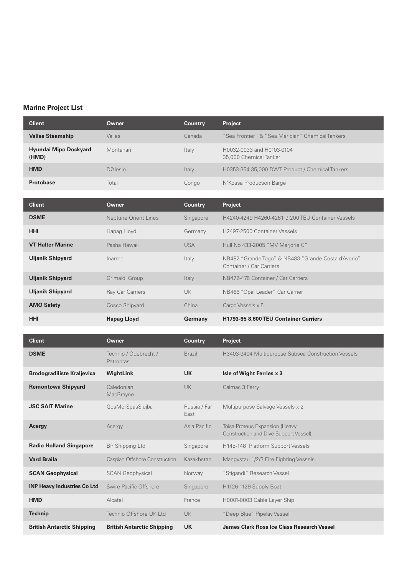# **Marine Project List**

| <b>Client</b>                         | Owner     | <b>Country</b> | <b>Project</b>                                      |
|---------------------------------------|-----------|----------------|-----------------------------------------------------|
| <b>Valles Steamship</b>               | Valles    | Canada         | "Sea Frontier" & "Sea Meridian" Chemical Tankers    |
| <b>Hyundai Mipo Dockyard</b><br>(HMD) | Montanari | Italy          | H0032-0033 and H0103-0104<br>35,000 Chemical Tanker |
| <b>HMD</b>                            | D'Alesio  | Italy          | H0353-354 35,000 DWT Product / Chemical Tankers     |
| <b>Protobase</b>                      | Total     | Congo          | N'Kossa Production Barge                            |

| <b>Client</b>           | Owner                | <b>Country</b> | <b>Project</b>                                                                  |
|-------------------------|----------------------|----------------|---------------------------------------------------------------------------------|
| <b>DSME</b>             | Neptune Orient Lines | Singapore      | H4240-4249 H4260-4261 9,200 TEU Container Vessels                               |
| <b>HHI</b>              | Hapag Lloyd          | Germany        | H2497-2500 Container Vessels                                                    |
| <b>VT Halter Marine</b> | Pasha Hawaii         | <b>USA</b>     | Hull No 433-2005 "MV Marjorie C"                                                |
| <b>Uljanik Shipyard</b> | Inarme               | Italy          | NB482 "Grande Togo" & NB483 "Grande Costa d'Avorio"<br>Container / Car Carriers |
| <b>Uljanik Shipyard</b> | Grimaldi Group       | Italy          | NB472-476 Container / Car Carriers                                              |
| <b>Uljanik Shipyard</b> | Ray Car Carriers     | <b>UK</b>      | NB466 "Opal Leader" Car Carrier                                                 |
| <b>AMO Safety</b>       | Cosco Shipyard       | China          | Cargo Vessels x 5                                                               |
| <b>HHI</b>              | <b>Hapag Lloyd</b>   | Germany        | H1793-95 8,600 TEU Container Carriers                                           |

| <b>Client</b>                      | Owner                              | <b>Country</b>       | Project                                                                        |
|------------------------------------|------------------------------------|----------------------|--------------------------------------------------------------------------------|
| <b>DSME</b>                        | Technip / Odebrecht /<br>Petrobras | <b>Brazil</b>        | H3403-3404 Multipurpose Subsea Construction Vessels                            |
| <b>Brodogradiliste Kraljevica</b>  | <b>WightLink</b>                   | <b>UK</b>            | Isle of Wight Ferries x 3                                                      |
| <b>Remontowa Shipyard</b>          | Caledonian<br>MacBrayne            | <b>UK</b>            | Calmac 3 Ferry                                                                 |
| <b>JSC SAIT Marine</b>             | GosMorSpasSlujba                   | Russia / Far<br>East | Multipurpose Salvage Vessels x 2                                               |
| Acergy                             | Acergy                             | Asia Pacific         | <b>Toisa Proteus Expansion (Heavy</b><br>Construction and Dive Support Vessel) |
| <b>Radio Holland Singapore</b>     | <b>BP Shipping Ltd</b>             | Singapore            | H145-148 Platform Support Vessels                                              |
| <b>Vard Braila</b>                 | Caspian Offshore Construction      | Kazakhstan           | Mangystau 1/2/3 Fire Fighting Vessels                                          |
| <b>SCAN Geophysical</b>            | <b>SCAN Geophysical</b>            | Norway               | "Stigandi" Research Vessel                                                     |
| <b>INP Heavy Industries Co Ltd</b> | Swire Pacific Offshore             | Singapore            | H1126-1129 Supply Boat                                                         |
| <b>HMD</b>                         | Alcatel                            | France               | H0001-0003 Cable Layer Ship                                                    |
| <b>Technip</b>                     | Technip Offshore UK Ltd            | <b>UK</b>            | "Deep Blue" Pipelay Vessel                                                     |
| <b>British Antarctic Shipping</b>  | <b>British Antarctic Shipping</b>  | <b>UK</b>            | James Clark Ross Ice Class Research Vessel                                     |